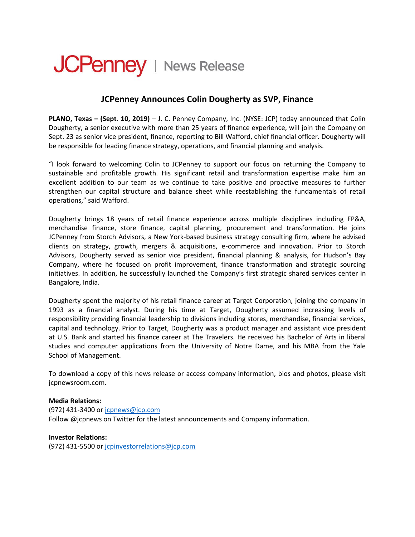## **JCPenney** | News Release

## **JCPenney Announces Colin Dougherty as SVP, Finance**

**PLANO, Texas – (Sept. 10, 2019)** – J. C. Penney Company, Inc. (NYSE: JCP) today announced that Colin Dougherty, a senior executive with more than 25 years of finance experience, will join the Company on Sept. 23 as senior vice president, finance, reporting to Bill Wafford, chief financial officer. Dougherty will be responsible for leading finance strategy, operations, and financial planning and analysis.

"I look forward to welcoming Colin to JCPenney to support our focus on returning the Company to sustainable and profitable growth. His significant retail and transformation expertise make him an excellent addition to our team as we continue to take positive and proactive measures to further strengthen our capital structure and balance sheet while reestablishing the fundamentals of retail operations," said Wafford.

Dougherty brings 18 years of retail finance experience across multiple disciplines including FP&A, merchandise finance, store finance, capital planning, procurement and transformation. He joins JCPenney from Storch Advisors, a New York-based business strategy consulting firm, where he advised clients on strategy, growth, mergers & acquisitions, e-commerce and innovation. Prior to Storch Advisors, Dougherty served as senior vice president, financial planning & analysis, for Hudson's Bay Company, where he focused on profit improvement, finance transformation and strategic sourcing initiatives. In addition, he successfully launched the Company's first strategic shared services center in Bangalore, India.

Dougherty spent the majority of his retail finance career at Target Corporation, joining the company in 1993 as a financial analyst. During his time at Target, Dougherty assumed increasing levels of responsibility providing financial leadership to divisions including stores, merchandise, financial services, capital and technology. Prior to Target, Dougherty was a product manager and assistant vice president at U.S. Bank and started his finance career at The Travelers. He received his Bachelor of Arts in liberal studies and computer applications from the University of Notre Dame, and his MBA from the Yale School of Management.

To download a copy of this news release or access company information, bios and photos, please visit jcpnewsroom.com.

## **Media Relations:**

(972) 431-3400 or [jcpnews@jcp.com](mailto:jcpnews@jcp.com) Follow @jcpnews on Twitter for the latest announcements and Company information.

**Investor Relations:**  (972) 431-5500 or [jcpinvestorrelations@jcp.com](mailto:jcpinvestorrelations@jcp.com)